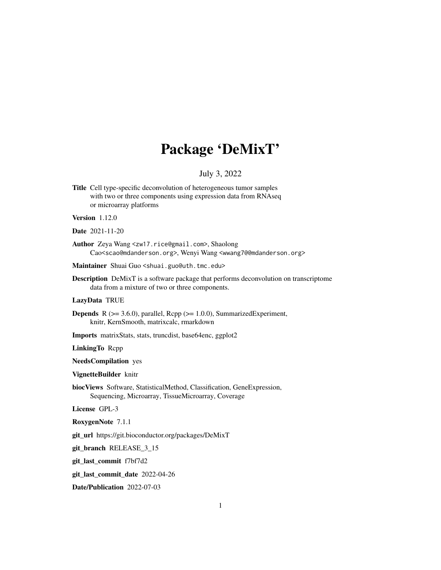## Package 'DeMixT'

## July 3, 2022

Title Cell type-specific deconvolution of heterogeneous tumor samples with two or three components using expression data from RNAseq or microarray platforms

## Version 1.12.0

#### Date 2021-11-20

Author Zeya Wang <zw17.rice@gmail.com>, Shaolong Cao<scao@mdanderson.org>, Wenyi Wang <wwang7@@mdanderson.org>

Maintainer Shuai Guo <shuai.guo@uth.tmc.edu>

Description DeMixT is a software package that performs deconvolution on transcriptome data from a mixture of two or three components.

#### LazyData TRUE

- **Depends** R ( $>= 3.6.0$ ), parallel, Rcpp ( $>= 1.0.0$ ), SummarizedExperiment, knitr, KernSmooth, matrixcalc, rmarkdown
- Imports matrixStats, stats, truncdist, base64enc, ggplot2

LinkingTo Rcpp

NeedsCompilation yes

VignetteBuilder knitr

biocViews Software, StatisticalMethod, Classification, GeneExpression, Sequencing, Microarray, TissueMicroarray, Coverage

License GPL-3

RoxygenNote 7.1.1

git\_url https://git.bioconductor.org/packages/DeMixT

git\_branch RELEASE\_3\_15

git\_last\_commit f7bf7d2

git\_last\_commit\_date 2022-04-26

Date/Publication 2022-07-03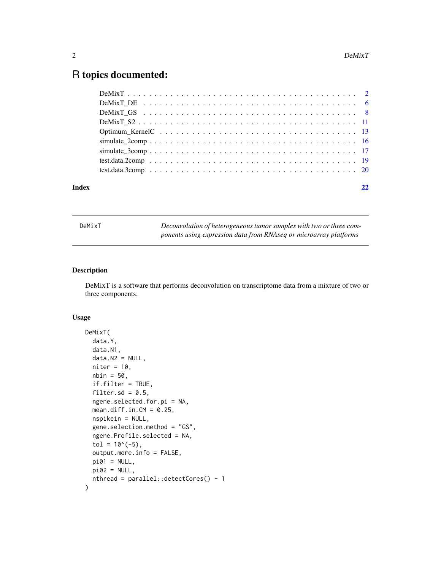## <span id="page-1-0"></span>R topics documented:

| Index |  |
|-------|--|

| DeMixT |  |  |
|--------|--|--|
|        |  |  |

Deconvolution of heterogeneous tumor samples with two or three com*ponents using expression data from RNAseq or microarray platforms*

#### Description

DeMixT is a software that performs deconvolution on transcriptome data from a mixture of two or three components.

#### Usage

```
DeMixT(
  data.Y,
  data.N1,
  data.N2 = NULL,niter = 10,
  nbin = 50,
  if.filter = TRUE,
  filter.sd = 0.5,
  ngene.selected.for.pi = NA,
  mean.diff.in.CM = 0.25,
  nspikein = NULL,
  gene.selection.method = "GS",
  ngene.Profile.selected = NA,
  tol = 10^*(-5),
  output.more.info = FALSE,
  pi01 = NULL,pi02 = NULL,nthread = parallel::detectCores() - 1
)
```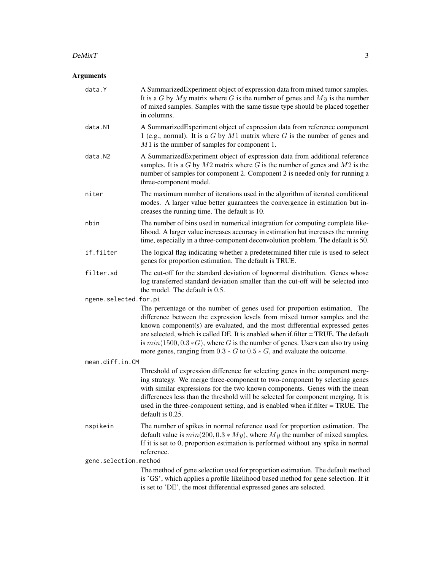#### $D$ eMixT  $3$

| data.Y                | A Summarized Experiment object of expression data from mixed tumor samples.<br>It is a G by $My$ matrix where G is the number of genes and $My$ is the number<br>of mixed samples. Samples with the same tissue type should be placed together<br>in columns.                                                                                                                                                                                                                                    |
|-----------------------|--------------------------------------------------------------------------------------------------------------------------------------------------------------------------------------------------------------------------------------------------------------------------------------------------------------------------------------------------------------------------------------------------------------------------------------------------------------------------------------------------|
| data.N1               | A SummarizedExperiment object of expression data from reference component<br>1 (e.g., normal). It is a $G$ by $M1$ matrix where $G$ is the number of genes and<br>$M1$ is the number of samples for component 1.                                                                                                                                                                                                                                                                                 |
| data.N2               | A SummarizedExperiment object of expression data from additional reference<br>samples. It is a $G$ by $M2$ matrix where $G$ is the number of genes and $M2$ is the<br>number of samples for component 2. Component 2 is needed only for running a<br>three-component model.                                                                                                                                                                                                                      |
| niter                 | The maximum number of iterations used in the algorithm of iterated conditional<br>modes. A larger value better guarantees the convergence in estimation but in-<br>creases the running time. The default is 10.                                                                                                                                                                                                                                                                                  |
| nbin                  | The number of bins used in numerical integration for computing complete like-<br>lihood. A larger value increases accuracy in estimation but increases the running<br>time, especially in a three-component deconvolution problem. The default is 50.                                                                                                                                                                                                                                            |
| if.filter             | The logical flag indicating whether a predetermined filter rule is used to select<br>genes for proportion estimation. The default is TRUE.                                                                                                                                                                                                                                                                                                                                                       |
| filter.sd             | The cut-off for the standard deviation of lognormal distribution. Genes whose<br>log transferred standard deviation smaller than the cut-off will be selected into<br>the model. The default is 0.5.                                                                                                                                                                                                                                                                                             |
| ngene.selected.for.pi |                                                                                                                                                                                                                                                                                                                                                                                                                                                                                                  |
|                       | The percentage or the number of genes used for proportion estimation. The<br>difference between the expression levels from mixed tumor samples and the<br>known component(s) are evaluated, and the most differential expressed genes<br>are selected, which is called DE. It is enabled when if filter = TRUE. The default<br>is $min(1500, 0.3 * G)$ , where G is the number of genes. Users can also try using<br>more genes, ranging from $0.3 * G$ to $0.5 * G$ , and evaluate the outcome. |
| mean.diff.in.CM       |                                                                                                                                                                                                                                                                                                                                                                                                                                                                                                  |
|                       | Threshold of expression difference for selecting genes in the component merg-<br>ing strategy. We merge three-component to two-component by selecting genes<br>with similar expressions for the two known components. Genes with the mean<br>differences less than the threshold will be selected for component merging. It is<br>used in the three-component setting, and is enabled when if filter = TRUE. The<br>default is 0.25.                                                             |
| nspikein              | The number of spikes in normal reference used for proportion estimation. The<br>default value is $min(200, 0.3 * My)$ , where My the number of mixed samples.<br>If it is set to 0, proportion estimation is performed without any spike in normal<br>reference.                                                                                                                                                                                                                                 |
| gene.selection.method |                                                                                                                                                                                                                                                                                                                                                                                                                                                                                                  |
|                       | The method of gene selection used for proportion estimation. The default method<br>is 'GS', which applies a profile likelihood based method for gene selection. If it<br>is set to 'DE', the most differential expressed genes are selected.                                                                                                                                                                                                                                                     |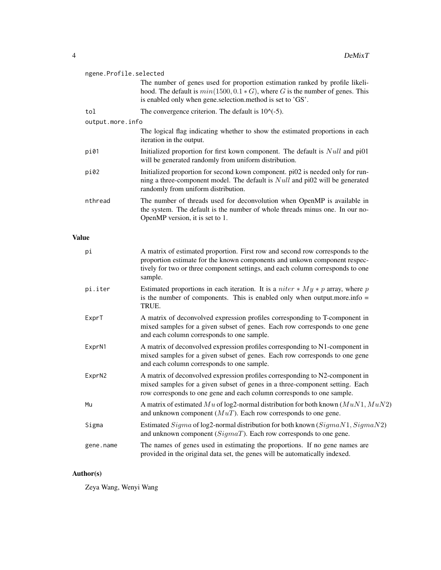|              | ngene.Profile.selected |                                                                                                                                                                                                                                                         |  |
|--------------|------------------------|---------------------------------------------------------------------------------------------------------------------------------------------------------------------------------------------------------------------------------------------------------|--|
|              |                        | The number of genes used for proportion estimation ranked by profile likeli-<br>hood. The default is $min(1500, 0.1 * G)$ , where G is the number of genes. This<br>is enabled only when gene.selection.method is set to 'GS'.                          |  |
|              | tol                    | The convergence criterion. The default is $10^{\circ}(-5)$ .                                                                                                                                                                                            |  |
|              | output.more.info       |                                                                                                                                                                                                                                                         |  |
|              |                        | The logical flag indicating whether to show the estimated proportions in each<br>iteration in the output.                                                                                                                                               |  |
|              | pi01                   | Initialized proportion for first kown component. The default is $Null$ and pi01<br>will be generated randomly from uniform distribution.                                                                                                                |  |
|              | pi02                   | Initialized proportion for second kown component. pi02 is needed only for run-<br>ning a three-component model. The default is $Null$ and pi02 will be generated<br>randomly from uniform distribution.                                                 |  |
|              | nthread                | The number of threads used for deconvolution when OpenMP is available in<br>the system. The default is the number of whole threads minus one. In our no-<br>OpenMP version, it is set to 1.                                                             |  |
| <b>Value</b> |                        |                                                                                                                                                                                                                                                         |  |
|              | рi                     | A matrix of estimated proportion. First row and second row corresponds to the<br>proportion estimate for the known components and unkown component respec-<br>tively for two or three component settings, and each column corresponds to one<br>sample. |  |
|              | pi.iter                | Estimated proportions in each iteration. It is a <i>niter</i> $*$ <i>My</i> $*$ <i>p</i> array, where <i>p</i><br>is the number of components. This is enabled only when output more info $=$<br>TRUE.                                                  |  |
|              | ExprT                  | A matrix of deconvolved expression profiles corresponding to T-component in<br>mixed samples for a given subset of genes. Each row corresponds to one gene<br>and each column corresponds to one sample.                                                |  |
|              | ExprN1                 | A matrix of deconvolved expression profiles corresponding to N1-component in<br>mixed samples for a given subset of genes. Each row corresponds to one gene<br>and each column corresponds to one sample.                                               |  |
|              | ExprN2                 | A matrix of deconvolved expression profiles corresponding to N2-component in<br>mixed samples for a given subset of genes in a three-component setting. Each<br>row corresponds to one gene and each column corresponds to one sample.                  |  |
|              | Mu                     | A matrix of estimated Mu of log2-normal distribution for both known $(MuN1, MuN2)$<br>and unknown component $(MuT)$ . Each row corresponds to one gene.                                                                                                 |  |
|              | Sigma                  | Estimated Sigma of log2-normal distribution for both known $(Sigma N1, Sigma N2)$<br>and unknown component $(SigmaT)$ . Each row corresponds to one gene.                                                                                               |  |
|              | gene.name              | The names of genes used in estimating the proportions. If no gene names are<br>provided in the original data set, the genes will be automatically indexed.                                                                                              |  |

## Author(s)

Zeya Wang, Wenyi Wang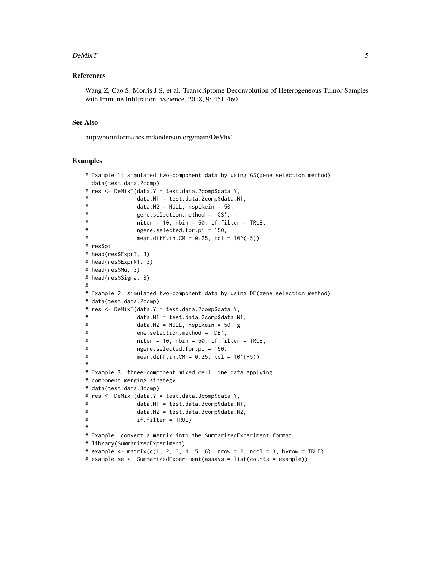#### $D$ eMixT  $\qquad \qquad$  5

#### References

Wang Z, Cao S, Morris J S, et al. Transcriptome Deconvolution of Heterogeneous Tumor Samples with Immune Infiltration. iScience, 2018, 9: 451-460.

## See Also

http://bioinformatics.mdanderson.org/main/DeMixT

#### Examples

```
# Example 1: simulated two-component data by using GS(gene selection method)
 data(test.data.2comp)
# res <- DeMixT(data.Y = test.data.2comp$data.Y,
# data.N1 = test.data.2comp$data.N1,
# data.N2 = NULL, nspikein = 50,
# gene.selection.method = 'GS',
# niter = 10, nbin = 50, if.filter = TRUE,
# ngene.selected.for.pi = 150,
# mean.diff.in.CM = 0.25, tol = 10^(-5))
# res$pi
# head(res$ExprT, 3)
# head(res$ExprN1, 3)
# head(res$Mu, 3)
# head(res$Sigma, 3)
#
# Example 2: simulated two-component data by using DE(gene selection method)
# data(test.data.2comp)
# res <- DeMixT(data.Y = test.data.2comp$data.Y,
# data.N1 = test.data.2comp$data.N1,
# data.N2 = NULL, nspikein = 50, g
# ene.selection.method = 'DE',
# niter = 10, nbin = 50, if.filter = TRUE,
# ngene.selected.for.pi = 150,
# mean.diff.in.CM = 0.25, tol = 10^(-5))
#
# Example 3: three-component mixed cell line data applying
# component merging strategy
# data(test.data.3comp)
# res <- DeMixT(data.Y = test.data.3comp$data.Y,
# data.N1 = test.data.3comp$data.N1,
# data.N2 = test.data.3comp$data.N2,
# if.filter = TRUE)
#
# Example: convert a matrix into the SummarizedExperiment format
# library(SummarizedExperiment)
# example <- matrix(c(1, 2, 3, 4, 5, 6), nrow = 2, ncol = 3, byrow = TRUE)
# example.se <- SummarizedExperiment(assays = list(counts = example))
```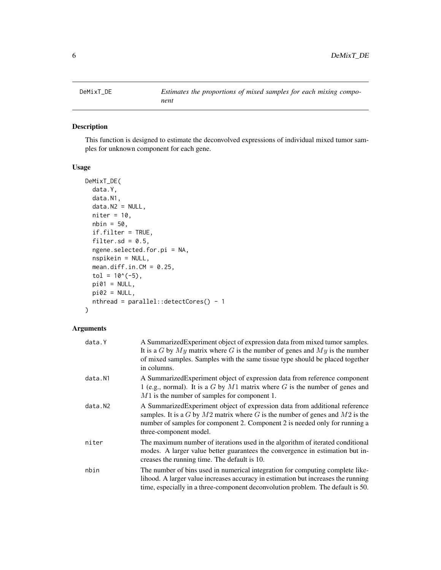<span id="page-5-0"></span>

## Description

This function is designed to estimate the deconvolved expressions of individual mixed tumor samples for unknown component for each gene.

## Usage

```
DeMixT_DE(
  data.Y,
  data.N1,
  data.N2 = NULL,niter = 10,
  nbin = 50,
  if.filter = TRUE,
  filter.sd = 0.5,
  ngene.selected.for.pi = NA,
  nspikein = NULL,
 mean.diff.in.CM = 0.25,
  tol = 10^*(-5),
 pi01 = NULL,pi02 = NULL,nthread = parallel::detectCores() - 1
\lambda
```

| data.Y  | A SummarizedExperiment object of expression data from mixed tumor samples.<br>It is a G by $My$ matrix where G is the number of genes and $My$ is the number<br>of mixed samples. Samples with the same tissue type should be placed together<br>in columns.             |
|---------|--------------------------------------------------------------------------------------------------------------------------------------------------------------------------------------------------------------------------------------------------------------------------|
| data.N1 | A SummarizedExperiment object of expression data from reference component<br>1 (e.g., normal). It is a G by $M1$ matrix where G is the number of genes and<br>$M1$ is the number of samples for component 1.                                                             |
| data.N2 | A Summarized Experiment object of expression data from additional reference<br>samples. It is a G by $M2$ matrix where G is the number of genes and $M2$ is the<br>number of samples for component 2. Component 2 is needed only for running a<br>three-component model. |
| niter   | The maximum number of iterations used in the algorithm of iterated conditional<br>modes. A larger value better guarantees the convergence in estimation but in-<br>creases the running time. The default is 10.                                                          |
| nbin    | The number of bins used in numerical integration for computing complete like-<br>lihood. A larger value increases accuracy in estimation but increases the running<br>time, especially in a three-component deconvolution problem. The default is 50.                    |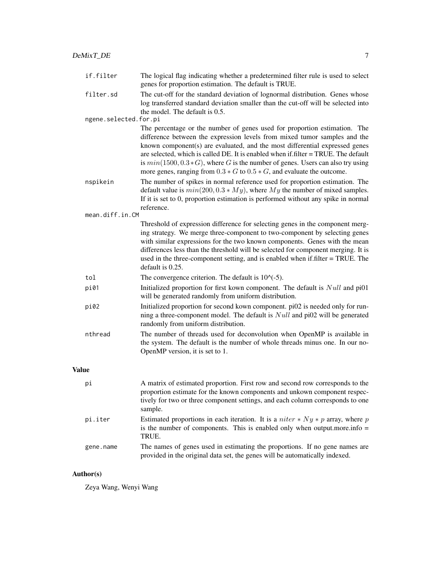| if.filter             | The logical flag indicating whether a predetermined filter rule is used to select<br>genes for proportion estimation. The default is TRUE. |
|-----------------------|--------------------------------------------------------------------------------------------------------------------------------------------|
| filter.sd             | The cut-off for the standard deviation of lognormal distribution. Genes whose                                                              |
|                       | log transferred standard deviation smaller than the cut-off will be selected into                                                          |
|                       | the model. The default is 0.5.                                                                                                             |
| ngene.selected.for.pi |                                                                                                                                            |
|                       | The percentage or the number of genes used for proportion estimation. The                                                                  |
|                       | difference between the expression levels from mixed tumor samples and the                                                                  |
|                       |                                                                                                                                            |

difference between the expression levels from mixed tumor samples and the known component(s) are evaluated, and the most differential expressed genes are selected, which is called DE. It is enabled when if.filter = TRUE. The default is  $min(1500, 0.3 * G)$ , where G is the number of genes. Users can also try using more genes, ranging from  $0.3 * G$  to  $0.5 * G$ , and evaluate the outcome. nspikein The number of spikes in normal reference used for proportion estimation. The

- default value is  $min(200, 0.3 * My)$ , where My the number of mixed samples. If it is set to 0, proportion estimation is performed without any spike in normal reference.
- mean.diff.in.CM

Threshold of expression difference for selecting genes in the component merging strategy. We merge three-component to two-component by selecting genes with similar expressions for the two known components. Genes with the mean differences less than the threshold will be selected for component merging. It is used in the three-component setting, and is enabled when if.filter = TRUE. The default is 0.25.

tol The convergence criterion. The default is  $10^{\circ}(-5)$ .

- pi01 Initialized proportion for first kown component. The default is *Null* and pi01 will be generated randomly from uniform distribution.
- pi02 Initialized proportion for second kown component. pi02 is needed only for running a three-component model. The default is  $Null$  and pi02 will be generated randomly from uniform distribution.
- nthread The number of threads used for deconvolution when OpenMP is available in the system. The default is the number of whole threads minus one. In our no-OpenMP version, it is set to 1.

#### Value

| рi        | A matrix of estimated proportion. First row and second row corresponds to the<br>proportion estimate for the known components and unkown component respec-<br>tively for two or three component settings, and each column corresponds to one<br>sample. |
|-----------|---------------------------------------------------------------------------------------------------------------------------------------------------------------------------------------------------------------------------------------------------------|
| pi.iter   | Estimated proportions in each iteration. It is a <i>niter</i> $* Ny * p$ array, where p<br>is the number of components. This is enabled only when output more info $=$<br>TRUE.                                                                         |
| gene.name | The names of genes used in estimating the proportions. If no gene names are<br>provided in the original data set, the genes will be automatically indexed.                                                                                              |

#### Author(s)

Zeya Wang, Wenyi Wang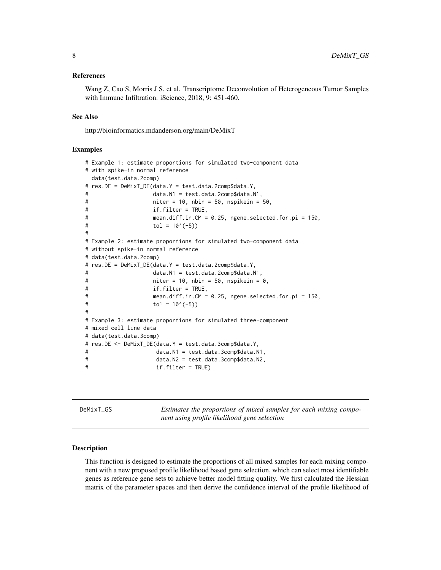#### <span id="page-7-0"></span>References

Wang Z, Cao S, Morris J S, et al. Transcriptome Deconvolution of Heterogeneous Tumor Samples with Immune Infiltration. iScience, 2018, 9: 451-460.

#### See Also

http://bioinformatics.mdanderson.org/main/DeMixT

#### Examples

```
# Example 1: estimate proportions for simulated two-component data
# with spike-in normal reference
 data(test.data.2comp)
# res.DE = DeMixT_DE(data.Y = test.data.2comp$data.Y,
# data.N1 = test.data.2comp$data.N1,
# niter = 10, nbin = 50, nspikein = 50,
# if.filter = TRUE,
# mean.diff.in.CM = 0.25, ngene.selected.for.pi = 150,
\text{tol} = 10^{\circ}(-5))
#
# Example 2: estimate proportions for simulated two-component data
# without spike-in normal reference
# data(test.data.2comp)
# res.DE = DeMixT_DE(data.Y = test.data.2comp$data.Y,
# data.N1 = test.data.2comp$data.N1,
# niter = 10, nbin = 50, nspikein = 0,
# if.filter = TRUE,
# mean.diff.in.CM = 0.25, ngene.selected.for.pi = 150,
\text{tol} = 10^(-5))
#
# Example 3: estimate proportions for simulated three-component
# mixed cell line data
# data(test.data.3comp)
# res.DE <- DeMixT_DE(data.Y = test.data.3comp$data.Y,
# data.N1 = test.data.3comp$data.N1,
# data.N2 = test.data.3comp$data.N2,
# if.filter = TRUE)
```
DeMixT\_GS *Estimates the proportions of mixed samples for each mixing component using profile likelihood gene selection*

#### Description

This function is designed to estimate the proportions of all mixed samples for each mixing component with a new proposed profile likelihood based gene selection, which can select most identifiable genes as reference gene sets to achieve better model fitting quality. We first calculated the Hessian matrix of the parameter spaces and then derive the confidence interval of the profile likelihood of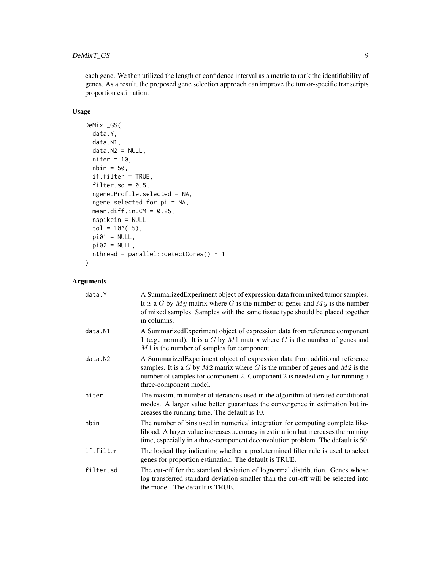each gene. We then utilized the length of confidence interval as a metric to rank the identifiability of genes. As a result, the proposed gene selection approach can improve the tumor-specific transcripts proportion estimation.

## Usage

```
DeMixT_GS(
  data.Y,
  data.N1,
  data.N2 = NULL,niter = 10,
 nbin = 50,
  if.filter = TRUE,
  filter.sd = 0.5,
  ngene.Profile.selected = NA,
  ngene.selected.for.pi = NA,
  mean.diff.in.CM = 0.25,
 nspikein = NULL,
  tol = 10^*(-5),
 pi01 = NULL,pi02 = NULL,nthread = parallel::detectCores() - 1
)
```

| data.Y    | A SummarizedExperiment object of expression data from mixed tumor samples.<br>It is a G by $My$ matrix where G is the number of genes and $My$ is the number<br>of mixed samples. Samples with the same tissue type should be placed together<br>in columns.                |
|-----------|-----------------------------------------------------------------------------------------------------------------------------------------------------------------------------------------------------------------------------------------------------------------------------|
| data.N1   | A Summarized Experiment object of expression data from reference component<br>1 (e.g., normal). It is a $G$ by $M1$ matrix where $G$ is the number of genes and<br>$M1$ is the number of samples for component 1.                                                           |
| data.N2   | A SummarizedExperiment object of expression data from additional reference<br>samples. It is a $G$ by $M2$ matrix where $G$ is the number of genes and $M2$ is the<br>number of samples for component 2. Component 2 is needed only for running a<br>three-component model. |
| niter     | The maximum number of iterations used in the algorithm of iterated conditional<br>modes. A larger value better guarantees the convergence in estimation but in-<br>creases the running time. The default is 10.                                                             |
| nbin      | The number of bins used in numerical integration for computing complete like-<br>lihood. A larger value increases accuracy in estimation but increases the running<br>time, especially in a three-component deconvolution problem. The default is 50.                       |
| if.filter | The logical flag indicating whether a predetermined filter rule is used to select<br>genes for proportion estimation. The default is TRUE.                                                                                                                                  |
| filter.sd | The cut-off for the standard deviation of lognormal distribution. Genes whose<br>log transferred standard deviation smaller than the cut-off will be selected into<br>the model. The default is TRUE.                                                                       |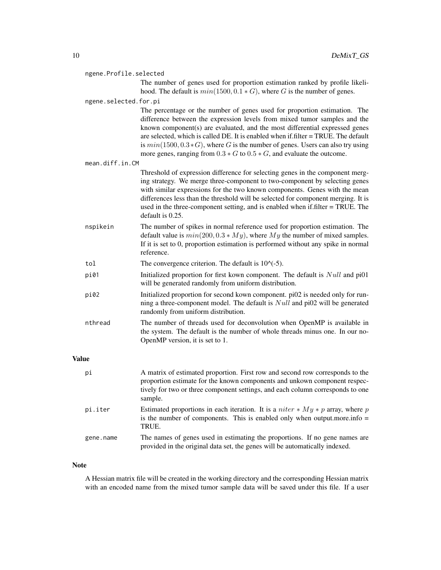|              | ngene.Profile.selected |                                                                                                                                                                                                                                                                                                                                                                                                                                                                                                  |  |
|--------------|------------------------|--------------------------------------------------------------------------------------------------------------------------------------------------------------------------------------------------------------------------------------------------------------------------------------------------------------------------------------------------------------------------------------------------------------------------------------------------------------------------------------------------|--|
|              |                        | The number of genes used for proportion estimation ranked by profile likeli-<br>hood. The default is $min(1500, 0.1 * G)$ , where G is the number of genes.                                                                                                                                                                                                                                                                                                                                      |  |
|              | ngene.selected.for.pi  |                                                                                                                                                                                                                                                                                                                                                                                                                                                                                                  |  |
|              |                        | The percentage or the number of genes used for proportion estimation. The<br>difference between the expression levels from mixed tumor samples and the<br>known component(s) are evaluated, and the most differential expressed genes<br>are selected, which is called DE. It is enabled when if filter = TRUE. The default<br>is $min(1500, 0.3 * G)$ , where G is the number of genes. Users can also try using<br>more genes, ranging from $0.3 * G$ to $0.5 * G$ , and evaluate the outcome. |  |
|              | mean.diff.in.CM        |                                                                                                                                                                                                                                                                                                                                                                                                                                                                                                  |  |
|              |                        | Threshold of expression difference for selecting genes in the component merg-<br>ing strategy. We merge three-component to two-component by selecting genes<br>with similar expressions for the two known components. Genes with the mean<br>differences less than the threshold will be selected for component merging. It is<br>used in the three-component setting, and is enabled when if filter = TRUE. The<br>default is 0.25.                                                             |  |
|              | nspikein               | The number of spikes in normal reference used for proportion estimation. The<br>default value is $min(200, 0.3 * My)$ , where My the number of mixed samples.<br>If it is set to 0, proportion estimation is performed without any spike in normal<br>reference.                                                                                                                                                                                                                                 |  |
|              | tol                    | The convergence criterion. The default is $10^{\circ}(-5)$ .                                                                                                                                                                                                                                                                                                                                                                                                                                     |  |
|              | pi01                   | Initialized proportion for first kown component. The default is <i>Null</i> and pi01<br>will be generated randomly from uniform distribution.                                                                                                                                                                                                                                                                                                                                                    |  |
|              | pi02                   | Initialized proportion for second kown component. pi02 is needed only for run-<br>ning a three-component model. The default is $Null$ and pi02 will be generated<br>randomly from uniform distribution.                                                                                                                                                                                                                                                                                          |  |
|              | nthread                | The number of threads used for deconvolution when OpenMP is available in<br>the system. The default is the number of whole threads minus one. In our no-<br>OpenMP version, it is set to 1.                                                                                                                                                                                                                                                                                                      |  |
| <b>Value</b> |                        |                                                                                                                                                                                                                                                                                                                                                                                                                                                                                                  |  |
|              | рi                     | A matrix of estimated proportion. First row and second row corresponds to the<br>proportion estimate for the known components and unkown component respec-<br>tively for two or three component settings, and each column corresponds to one<br>sample.                                                                                                                                                                                                                                          |  |
|              | pi.iter                | Estimated proportions in each iteration. It is a <i>niter</i> $*$ <i>My</i> $*$ <i>p</i> array, where <i>p</i><br>is the number of components. This is enabled only when output more info $=$<br>TRUE.                                                                                                                                                                                                                                                                                           |  |
|              | gene.name              | The names of genes used in estimating the proportions. If no gene names are<br>provided in the original data set, the genes will be automatically indexed.                                                                                                                                                                                                                                                                                                                                       |  |

## Note

A Hessian matrix file will be created in the working directory and the corresponding Hessian matrix with an encoded name from the mixed tumor sample data will be saved under this file. If a user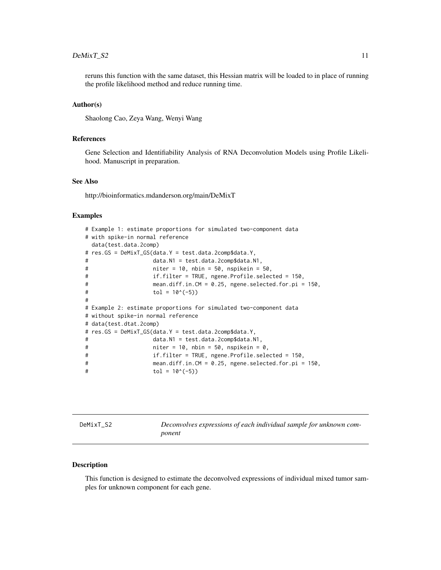#### <span id="page-10-0"></span> $D$ eMixT\_S2 11

reruns this function with the same dataset, this Hessian matrix will be loaded to in place of running the profile likelihood method and reduce running time.

#### Author(s)

Shaolong Cao, Zeya Wang, Wenyi Wang

#### References

Gene Selection and Identifiability Analysis of RNA Deconvolution Models using Profile Likelihood. Manuscript in preparation.

#### See Also

http://bioinformatics.mdanderson.org/main/DeMixT

#### Examples

```
# Example 1: estimate proportions for simulated two-component data
# with spike-in normal reference
 data(test.data.2comp)
# res.GS = DeMixT_GS(data.Y = test.data.2comp$data.Y,
# data.N1 = test.data.2comp$data.N1,
# niter = 10, nbin = 50, nspikein = 50,
# if.filter = TRUE, ngene.Profile.selected = 150,
# mean.diff.in.CM = 0.25, ngene.selected.for.pi = 150,
\text{tol} = 10^{\circ}(-5))
#
# Example 2: estimate proportions for simulated two-component data
# without spike-in normal reference
# data(test.dtat.2comp)
# res.GS = DeMixT_GS(data.Y = test.data.2comp$data.Y,
# data.N1 = test.data.2comp$data.N1,
# niter = 10, nbin = 50, nspikein = 0,
# if.filter = TRUE, ngene.Profile.selected = 150,
# mean.diff.in.CM = 0.25, ngene.selected.for.pi = 150,
\text{tol} = 10^(-5))
```

| DeMixT |  |
|--------|--|
|--------|--|

Deconvolves expressions of each individual sample for unknown com*ponent*

#### Description

This function is designed to estimate the deconvolved expressions of individual mixed tumor samples for unknown component for each gene.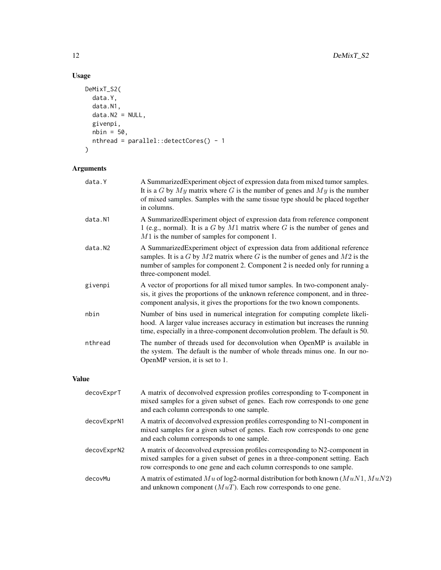## Usage

```
DeMixT_S2(
  data.Y,
  data.N1,
  data.N2 = NULL,givenpi,
  nbin = 50,
  nthread = parallel::detectCores() - 1
\mathcal{L}
```

| data.Y       | A SummarizedExperiment object of expression data from mixed tumor samples.<br>It is a G by $My$ matrix where G is the number of genes and $My$ is the number<br>of mixed samples. Samples with the same tissue type should be placed together<br>in columns.                |
|--------------|-----------------------------------------------------------------------------------------------------------------------------------------------------------------------------------------------------------------------------------------------------------------------------|
| data.N1      | A SummarizedExperiment object of expression data from reference component<br>1 (e.g., normal). It is a $G$ by $M1$ matrix where $G$ is the number of genes and<br>$M1$ is the number of samples for component 1.                                                            |
| data.N2      | A SummarizedExperiment object of expression data from additional reference<br>samples. It is a $G$ by $M2$ matrix where $G$ is the number of genes and $M2$ is the<br>number of samples for component 2. Component 2 is needed only for running a<br>three-component model. |
| givenpi      | A vector of proportions for all mixed tumor samples. In two-component analy-<br>sis, it gives the proportions of the unknown reference component, and in three-<br>component analysis, it gives the proportions for the two known components.                               |
| nbin         | Number of bins used in numerical integration for computing complete likeli-<br>hood. A larger value increases accuracy in estimation but increases the running<br>time, especially in a three-component deconvolution problem. The default is 50.                           |
| nthread      | The number of threads used for deconvolution when OpenMP is available in<br>the system. The default is the number of whole threads minus one. In our no-<br>OpenMP version, it is set to 1.                                                                                 |
| <b>Value</b> |                                                                                                                                                                                                                                                                             |
| decovExprT   | A matrix of deconvolved expression profiles corresponding to T-component in<br>mixed samples for a given subset of genes. Each row corresponds to one gene<br>and each column corresponds to one sample.                                                                    |
| decovExprN1  | A matrix of deconvolved expression profiles corresponding to N1-component in<br>mixed samples for a given subset of genes. Each row corresponds to one gene<br>and each column corresponds to one sample.                                                                   |
| decovExprN2  | A matrix of deconvolved expression profiles corresponding to N2-component in<br>mixed samples for a given subset of genes in a three-component setting. Each<br>row corresponds to one gene and each column corresponds to one sample.                                      |
| decovMu      | A matrix of estimated Mu of log2-normal distribution for both known $(MuN1, MuN2)$<br>and unknown component $(MuT)$ . Each row corresponds to one gene.                                                                                                                     |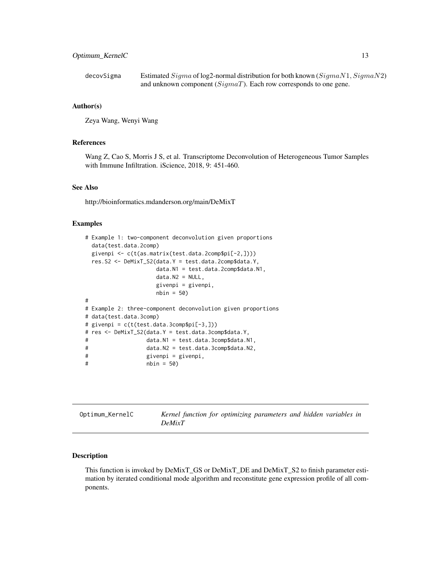<span id="page-12-0"></span>decovSigma Estimated  $Sigma$  of log2-normal distribution for both known  $(Sigma N1, Sigma N2)$ and unknown component  $(SigmaT)$ . Each row corresponds to one gene.

#### Author(s)

Zeya Wang, Wenyi Wang

#### References

Wang Z, Cao S, Morris J S, et al. Transcriptome Deconvolution of Heterogeneous Tumor Samples with Immune Infiltration. iScience, 2018, 9: 451-460.

## See Also

http://bioinformatics.mdanderson.org/main/DeMixT

#### Examples

```
# Example 1: two-component deconvolution given proportions
 data(test.data.2comp)
 givenpi <- c(t(as.matrix(test.data.2comp$pi[-2,])))
 res.S2 <- DeMixT_S2(data.Y = test.data.2comp$data.Y,
                   data.N1 = test.data.2comp$data.N1,
                   data.N2 = NULL,givenpi = givenpi,
                   nbin = 50#
# Example 2: three-component deconvolution given proportions
# data(test.data.3comp)
# givenpi = c(t(test.data.3comp$pi[-3,]))
# res <- DeMixT_S2(data.Y = test.data.3comp$data.Y,
# data.N1 = test.data.3comp$data.N1,
# data.N2 = test.data.3comp$data.N2,
# givenpi = givenpi,
# nbin = 50)
```

| Optimum_KernelC | Kernel function for optimizing parameters and hidden variables in |
|-----------------|-------------------------------------------------------------------|
|                 | <b>DeMixT</b>                                                     |

#### Description

This function is invoked by DeMixT\_GS or DeMixT\_DE and DeMixT\_S2 to finish parameter estimation by iterated conditional mode algorithm and reconstitute gene expression profile of all components.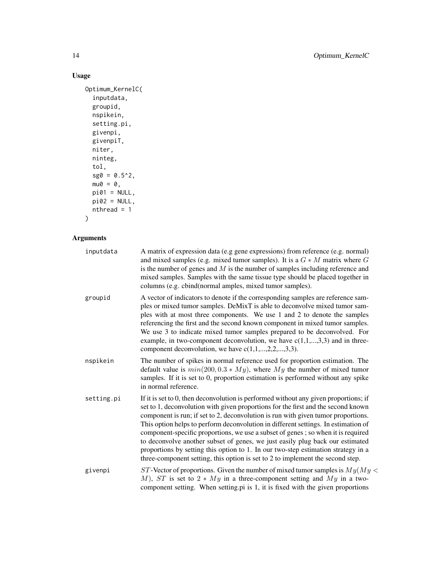## Usage

```
Optimum_KernelC(
  inputdata,
  groupid,
  nspikein,
  setting.pi,
  givenpi,
  givenpiT,
  niter,
  ninteg,
  tol,
  sg0 = 0.5^2,mu0 = 0,
  pi01 = NULL,pi02 = NULL,nthread = 1
\mathcal{L}
```

| inputdata  | A matrix of expression data (e.g gene expressions) from reference (e.g. normal)<br>and mixed samples (e.g. mixed tumor samples). It is a $G * M$ matrix where G<br>is the number of genes and $M$ is the number of samples including reference and<br>mixed samples. Samples with the same tissue type should be placed together in<br>columns (e.g. cbind(normal amples, mixed tumor samples).                                                                                                                                                                                                                                                                                                  |
|------------|--------------------------------------------------------------------------------------------------------------------------------------------------------------------------------------------------------------------------------------------------------------------------------------------------------------------------------------------------------------------------------------------------------------------------------------------------------------------------------------------------------------------------------------------------------------------------------------------------------------------------------------------------------------------------------------------------|
| groupid    | A vector of indicators to denote if the corresponding samples are reference sam-<br>ples or mixed tumor samples. DeMixT is able to deconvolve mixed tumor sam-<br>ples with at most three components. We use 1 and 2 to denote the samples<br>referencing the first and the second known component in mixed tumor samples.<br>We use 3 to indicate mixed tumor samples prepared to be deconvolved. For<br>example, in two-component deconvolution, we have $c(1,1,,3,3)$ and in three-<br>component deconvolution, we have $c(1,1,,2,2,,3,3)$ .                                                                                                                                                  |
| nspikein   | The number of spikes in normal reference used for proportion estimation. The<br>default value is $min(200, 0.3 * My)$ , where My the number of mixed tumor<br>samples. If it is set to 0, proportion estimation is performed without any spike<br>in normal reference.                                                                                                                                                                                                                                                                                                                                                                                                                           |
| setting.pi | If it is set to 0, then deconvolution is performed without any given proportions; if<br>set to 1, deconvolution with given proportions for the first and the second known<br>component is run; if set to 2, deconvolution is run with given tumor proportions.<br>This option helps to perform deconvolution in different settings. In estimation of<br>component-specific proportions, we use a subset of genes; so when it is required<br>to deconvolve another subset of genes, we just easily plug back our estimated<br>proportions by setting this option to 1. In our two-step estimation strategy in a<br>three-component setting, this option is set to 2 to implement the second step. |
| givenpi    | ST-Vector of proportions. Given the number of mixed tumor samples is $My(My \leq$<br>M), ST is set to $2 * My$ in a three-component setting and My in a two-<br>component setting. When setting pi is 1, it is fixed with the given proportions                                                                                                                                                                                                                                                                                                                                                                                                                                                  |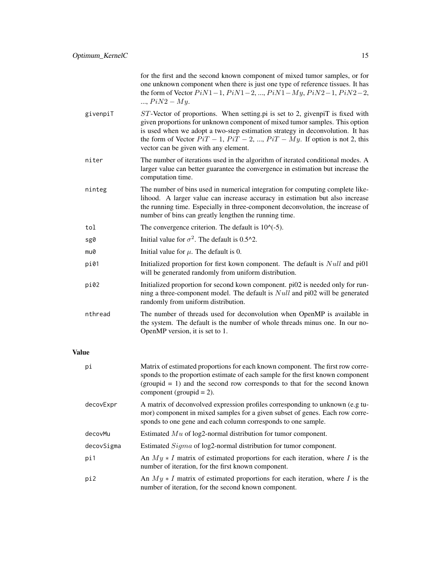|              |            | for the first and the second known component of mixed tumor samples, or for<br>one unknown component when there is just one type of reference tissues. It has<br>the form of Vector $Pi-1$ , $Pi-2$ , , $Pi-1$ , $Piy$ , $Pi-1$ , $Piy-2$ ,<br>, $PiN2 - My.$                                                                                                                 |
|--------------|------------|-------------------------------------------------------------------------------------------------------------------------------------------------------------------------------------------------------------------------------------------------------------------------------------------------------------------------------------------------------------------------------|
|              | givenpiT   | $ST$ -Vector of proportions. When setting pi is set to 2, given piT is fixed with<br>given proportions for unknown component of mixed tumor samples. This option<br>is used when we adopt a two-step estimation strategy in deconvolution. It has<br>the form of Vector $Pi - 1$ , $Pi - 2$ , , $Pi - My$ . If option is not 2, this<br>vector can be given with any element. |
|              | niter      | The number of iterations used in the algorithm of iterated conditional modes. A<br>larger value can better guarantee the convergence in estimation but increase the<br>computation time.                                                                                                                                                                                      |
|              | ninteg     | The number of bins used in numerical integration for computing complete like-<br>lihood. A larger value can increase accuracy in estimation but also increase<br>the running time. Especially in three-component deconvolution, the increase of<br>number of bins can greatly lengthen the running time.                                                                      |
|              | tol        | The convergence criterion. The default is $10^{-6}$ .                                                                                                                                                                                                                                                                                                                         |
|              | sg0        | Initial value for $\sigma^2$ . The default is 0.5^2.                                                                                                                                                                                                                                                                                                                          |
|              | mu0        | Initial value for $\mu$ . The default is 0.                                                                                                                                                                                                                                                                                                                                   |
|              | pi01       | Initialized proportion for first kown component. The default is <i>Null</i> and pi01<br>will be generated randomly from uniform distribution.                                                                                                                                                                                                                                 |
|              | pi02       | Initialized proportion for second kown component. pi02 is needed only for run-<br>ning a three-component model. The default is $Null$ and pi02 will be generated<br>randomly from uniform distribution.                                                                                                                                                                       |
|              | nthread    | The number of threads used for deconvolution when OpenMP is available in<br>the system. The default is the number of whole threads minus one. In our no-<br>OpenMP version, it is set to 1.                                                                                                                                                                                   |
| <b>Value</b> |            |                                                                                                                                                                                                                                                                                                                                                                               |
| рi           |            | Matrix of estimated proportions for each known component. The first row corre-<br>sponds to the proportion estimate of each sample for the first known component<br>$(groupid = 1)$ and the second row corresponds to that for the second known<br>component (groupid = $2$ ).                                                                                                |
|              | decovExpr  | A matrix of deconvolved expression profiles corresponding to unknown (e.g tu-<br>mor) component in mixed samples for a given subset of genes. Each row corre-<br>sponds to one gene and each column corresponds to one sample.                                                                                                                                                |
|              | decovMu    | Estimated $Mu$ of log2-normal distribution for tumor component.                                                                                                                                                                                                                                                                                                               |
|              | decovSigma | Estimated Sigma of log2-normal distribution for tumor component.                                                                                                                                                                                                                                                                                                              |
|              | pi1        | An $My * I$ matrix of estimated proportions for each iteration, where I is the<br>number of iteration, for the first known component.                                                                                                                                                                                                                                         |
|              | pi2        | An $My * I$ matrix of estimated proportions for each iteration, where I is the<br>number of iteration, for the second known component.                                                                                                                                                                                                                                        |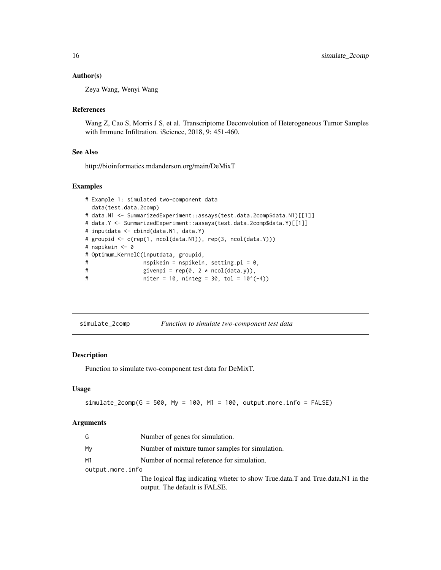#### <span id="page-15-0"></span>Author(s)

Zeya Wang, Wenyi Wang

#### References

Wang Z, Cao S, Morris J S, et al. Transcriptome Deconvolution of Heterogeneous Tumor Samples with Immune Infiltration. iScience, 2018, 9: 451-460.

#### See Also

http://bioinformatics.mdanderson.org/main/DeMixT

#### Examples

```
# Example 1: simulated two-component data
 data(test.data.2comp)
# data.N1 <- SummarizedExperiment::assays(test.data.2comp$data.N1)[[1]]
# data.Y <- SummarizedExperiment::assays(test.data.2comp$data.Y)[[1]]
# inputdata <- cbind(data.N1, data.Y)
# groupid <- c(rep(1, ncol(data.N1)), rep(3, ncol(data.Y)))
# nspikein <- 0
# Optimum_KernelC(inputdata, groupid,
# nspikein = nspikein, setting.pi = 0,
# givenpi = rep(\emptyset, 2 * ncol(data.y)),# niter = 10, ninteg = 30, tol = 10^(-4))
```

| simulate_2comp | Function to simulate two-component test data |
|----------------|----------------------------------------------|
|----------------|----------------------------------------------|

#### Description

Function to simulate two-component test data for DeMixT.

#### Usage

```
simulate_2comp(G = 500, My = 100, M1 = 100, output.more.info = FALSE)
```

| G                | Number of genes for simulation.                                                |
|------------------|--------------------------------------------------------------------------------|
| My               | Number of mixture tumor samples for simulation.                                |
| M1               | Number of normal reference for simulation.                                     |
| output.more.info |                                                                                |
|                  | The logical flag indicating wheter to show True.data.T and True.data.N1 in the |
|                  | output. The default is FALSE.                                                  |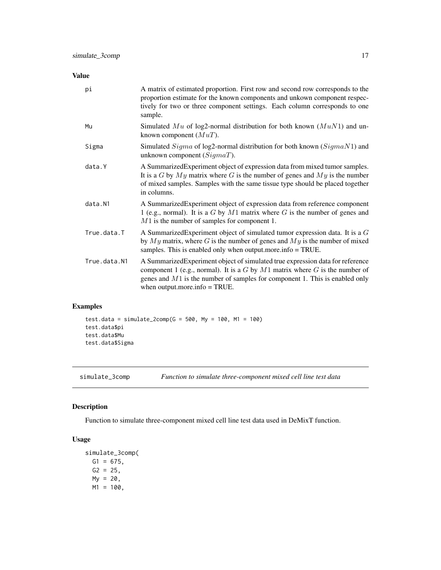## <span id="page-16-0"></span>Value

| pi           | A matrix of estimated proportion. First row and second row corresponds to the<br>proportion estimate for the known components and unkown component respec-<br>tively for two or three component settings. Each column corresponds to one<br>sample.                                     |
|--------------|-----------------------------------------------------------------------------------------------------------------------------------------------------------------------------------------------------------------------------------------------------------------------------------------|
| Mu           | Simulated Mu of log2-normal distribution for both known $(MuN1)$ and un-<br>known component $(MuT)$ .                                                                                                                                                                                   |
| Sigma        | Simulated $Sigma$ of log2-normal distribution for both known ( $Sigma$ N) and<br>unknown component $(SigmaT)$ .                                                                                                                                                                         |
| data.Y       | A Summarized Experiment object of expression data from mixed tumor samples.<br>It is a G by $My$ matrix where G is the number of genes and $My$ is the number<br>of mixed samples. Samples with the same tissue type should be placed together<br>in columns.                           |
| data.N1      | A SummarizedExperiment object of expression data from reference component<br>1 (e.g., normal). It is a $G$ by $M1$ matrix where $G$ is the number of genes and<br>$M1$ is the number of samples for component 1.                                                                        |
| True.data.T  | A Summarized Experiment object of simulated tumor expression data. It is a $G$<br>by $My$ matrix, where G is the number of genes and $My$ is the number of mixed<br>samples. This is enabled only when output more info $=$ TRUE.                                                       |
| True.data.N1 | A Summarized Experiment object of simulated true expression data for reference<br>component 1 (e.g., normal). It is a $G$ by $M1$ matrix where $G$ is the number of<br>genes and $M1$ is the number of samples for component 1. This is enabled only<br>when output.more.info $=$ TRUE. |

## Examples

```
test.data = simulate_2comp(G = 500, My = 100, M1 = 100)
test.data$pi
test.data$Mu
test.data$Sigma
```
simulate\_3comp *Function to simulate three-component mixed cell line test data*

## Description

Function to simulate three-component mixed cell line test data used in DeMixT function.

## Usage

```
simulate_3comp(
 G1 = 675,
 G2 = 25,
 My = 20,M1 = 100,
```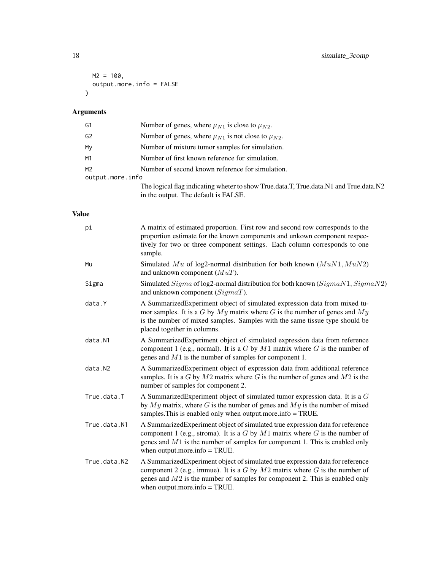```
M2 = 100,output.more.info = FALSE
\mathcal{L}
```
## Arguments

| G1               | Number of genes, where $\mu_{N1}$ is close to $\mu_{N2}$ .                                                                    |
|------------------|-------------------------------------------------------------------------------------------------------------------------------|
| G <sub>2</sub>   | Number of genes, where $\mu_{N1}$ is not close to $\mu_{N2}$ .                                                                |
| My               | Number of mixture tumor samples for simulation.                                                                               |
| M1               | Number of first known reference for simulation.                                                                               |
| M <sub>2</sub>   | Number of second known reference for simulation.                                                                              |
| output.more.info |                                                                                                                               |
|                  | The logical flag indicating wheter to show True.data.T, True.data.N1 and True.data.N2<br>in the output. The default is FALSE. |

## Value

| pi           | A matrix of estimated proportion. First row and second row corresponds to the<br>proportion estimate for the known components and unkown component respec-<br>tively for two or three component settings. Each column corresponds to one<br>sample.                                    |
|--------------|----------------------------------------------------------------------------------------------------------------------------------------------------------------------------------------------------------------------------------------------------------------------------------------|
| Mu           | Simulated Mu of log2-normal distribution for both known $(MuN1, MuN2)$<br>and unknown component $(MuT)$ .                                                                                                                                                                              |
| Sigma        | Simulated Sigma of log2-normal distribution for both known (SigmaN1, SigmaN2)<br>and unknown component $(SigmaT)$ .                                                                                                                                                                    |
| data.Y       | A SummarizedExperiment object of simulated expression data from mixed tu-<br>mor samples. It is a G by $My$ matrix where G is the number of genes and $My$<br>is the number of mixed samples. Samples with the same tissue type should be<br>placed together in columns.               |
| data.N1      | A Summarized Experiment object of simulated expression data from reference<br>component 1 (e.g., normal). It is a $G$ by $M1$ matrix where $G$ is the number of<br>genes and $M1$ is the number of samples for component 1.                                                            |
| data.N2      | A Summarized Experiment object of expression data from additional reference<br>samples. It is a G by $M2$ matrix where G is the number of genes and $M2$ is the<br>number of samples for component 2.                                                                                  |
| True.data.T  | A Summarized Experiment object of simulated tumor expression data. It is a $G$<br>by $My$ matrix, where G is the number of genes and $My$ is the number of mixed<br>samples. This is enabled only when output more info = TRUE.                                                        |
| True.data.N1 | A SummarizedExperiment object of simulated true expression data for reference<br>component 1 (e.g., stroma). It is a $G$ by $M1$ matrix where $G$ is the number of<br>genes and $M1$ is the number of samples for component 1. This is enabled only<br>when output.more.info $=$ TRUE. |
| True.data.N2 | A Summarized Experiment object of simulated true expression data for reference<br>component 2 (e.g., immue). It is a $G$ by $M2$ matrix where $G$ is the number of<br>genes and $M2$ is the number of samples for component 2. This is enabled only<br>when output more info $=$ TRUE. |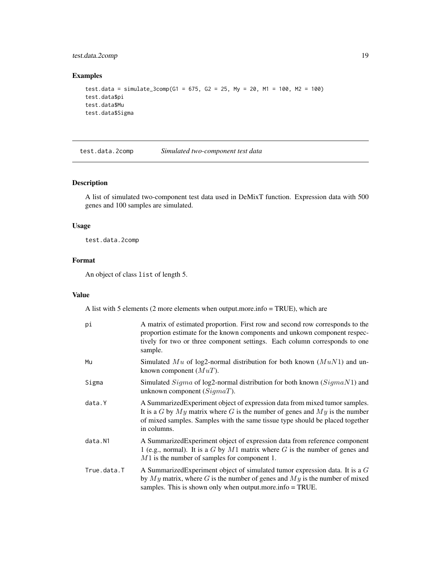## <span id="page-18-0"></span>test.data.2comp 19

#### Examples

```
test.data = simulate_3comp(G1 = 675, G2 = 25, My = 20, M1 = 100, M2 = 100)
test.data$pi
test.data$Mu
test.data$Sigma
```
test.data.2comp *Simulated two-component test data*

#### Description

A list of simulated two-component test data used in DeMixT function. Expression data with 500 genes and 100 samples are simulated.

#### Usage

test.data.2comp

#### Format

An object of class list of length 5.

#### Value

A list with 5 elements (2 more elements when output.more.info = TRUE), which are

| рi          | A matrix of estimated proportion. First row and second row corresponds to the<br>proportion estimate for the known components and unkown component respec-<br>tively for two or three component settings. Each column corresponds to one<br>sample.           |
|-------------|---------------------------------------------------------------------------------------------------------------------------------------------------------------------------------------------------------------------------------------------------------------|
| Mu          | Simulated Mu of log2-normal distribution for both known $(MuN1)$ and un-<br>known component $(MuT)$ .                                                                                                                                                         |
| Sigma       | Simulated $Sigma$ of log2-normal distribution for both known ( $SigmaN1$ ) and<br>unknown component $(SigmaT)$ .                                                                                                                                              |
| data.Y      | A Summarized Experiment object of expression data from mixed tumor samples.<br>It is a G by $My$ matrix where G is the number of genes and $My$ is the number<br>of mixed samples. Samples with the same tissue type should be placed together<br>in columns. |
| data.N1     | A Summarized Experiment object of expression data from reference component<br>1 (e.g., normal). It is a $G$ by $M1$ matrix where $G$ is the number of genes and<br>$M1$ is the number of samples for component 1.                                             |
| True.data.T | A Summarized Experiment object of simulated tumor expression data. It is a $G$<br>by $My$ matrix, where G is the number of genes and $My$ is the number of mixed<br>samples. This is shown only when output more info $=$ TRUE.                               |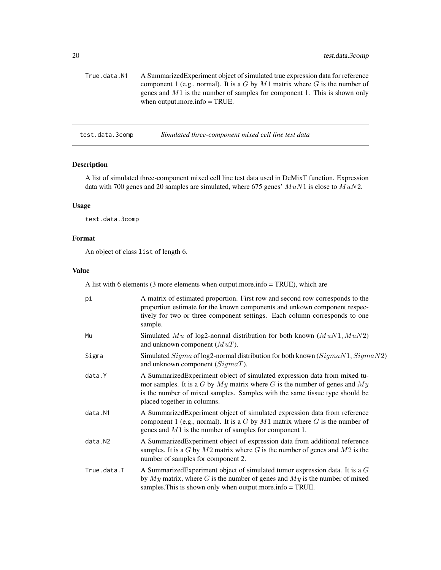<span id="page-19-0"></span>True.data.N1 A SummarizedExperiment object of simulated true expression data for reference component 1 (e.g., normal). It is a  $G$  by  $M1$  matrix where  $G$  is the number of genes and M1 is the number of samples for component 1. This is shown only when output.more.info = TRUE.

test.data.3comp *Simulated three-component mixed cell line test data*

## Description

A list of simulated three-component mixed cell line test data used in DeMixT function. Expression data with 700 genes and 20 samples are simulated, where 675 genes'  $MuN1$  is close to  $MuN2$ .

#### Usage

test.data.3comp

## Format

An object of class list of length 6.

#### Value

A list with 6 elements (3 more elements when output.more.info = TRUE), which are

| pi          | A matrix of estimated proportion. First row and second row corresponds to the<br>proportion estimate for the known components and unkown component respec-<br>tively for two or three component settings. Each column corresponds to one<br>sample.                      |
|-------------|--------------------------------------------------------------------------------------------------------------------------------------------------------------------------------------------------------------------------------------------------------------------------|
| Mu          | Simulated $Mu$ of log2-normal distribution for both known $(MuN1, MuN2)$<br>and unknown component $(MuT)$ .                                                                                                                                                              |
| Sigma       | Simulated Sigma of log2-normal distribution for both known $(Sigma N1, Sigmax 2)$<br>and unknown component $(SigmaT)$ .                                                                                                                                                  |
| data.Y      | A SummarizedExperiment object of simulated expression data from mixed tu-<br>mor samples. It is a G by $My$ matrix where G is the number of genes and $My$<br>is the number of mixed samples. Samples with the same tissue type should be<br>placed together in columns. |
| data.N1     | A SummarizedExperiment object of simulated expression data from reference<br>component 1 (e.g., normal). It is a $G$ by $M1$ matrix where $G$ is the number of<br>genes and $M1$ is the number of samples for component 1.                                               |
| data.N2     | A Summarized Experiment object of expression data from additional reference<br>samples. It is a G by $M2$ matrix where G is the number of genes and $M2$ is the<br>number of samples for component 2.                                                                    |
| True.data.T | A Summarized Experiment object of simulated tumor expression data. It is a $G$<br>by $My$ matrix, where G is the number of genes and $My$ is the number of mixed<br>samples. This is shown only when output more info $=$ TRUE.                                          |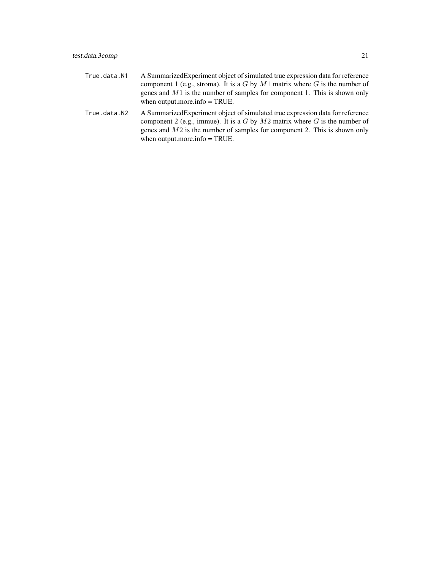| True.data.N1 | A Summarized Experiment object of simulated true expression data for reference |
|--------------|--------------------------------------------------------------------------------|
|              | component 1 (e.g., stroma). It is a G by M1 matrix where G is the number of    |
|              | genes and $M1$ is the number of samples for component 1. This is shown only    |
|              | when output more info $=$ TRUE.                                                |

True.data.N2 A SummarizedExperiment object of simulated true expression data for reference component 2 (e.g., immue). It is a  $G$  by  $M2$  matrix where  $G$  is the number of genes and M2 is the number of samples for component 2. This is shown only when output.more.info  $=$  TRUE.